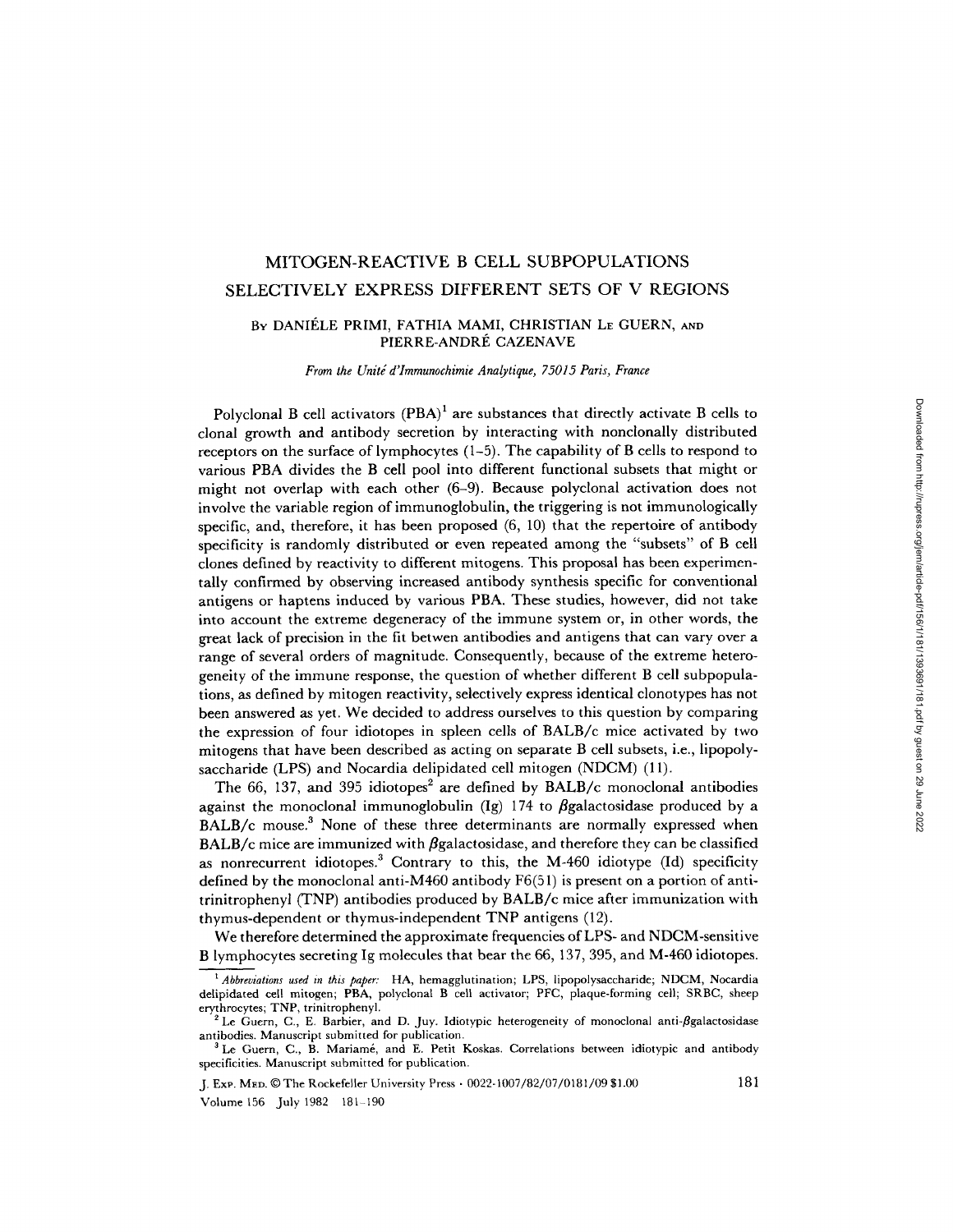# MITOGEN-REACTIVE B CELL SUBPOPULATIONS SELECTIVELY EXPRESS DIFFERENT SETS OF V REGIONS

## BY DANIÉLE PRIMI, FATHIA MAMI, CHRISTIAN LE GUERN, AND PIERRE-ANDRÉ CAZENAVE

*From the Unitg d'Immunochimie Analytique, 75015 Paris, France* 

Polyclonal B cell activators  $(PBA)^1$  are substances that directly activate B cells to clonal growth and antibody secretion by interacting with nonclonally distributed receptors on the surface of lymphocytes  $(1-5)$ . The capability of B cells to respond to various PBA divides the B cell pool into different functional subsets that might or might not overlap with each other (6-9). Because polyclonal activation does not involve the variable region of immunoglobulin, the triggering is not immunologically specific, and, therefore, it has been proposed (6, 10) that the repertoire of antibody specificity is randomly distributed or even repeated among the "subsets" of B cell clones defined by reactivity to different mitogens. This proposal has been experimentally confirmed by observing increased antibody synthesis specific for conventional antigens or haptens induced by various PBA. These studies, however, did not take into account the extreme degeneracy of the immune system or, in other words, the great lack of precision in the fit betwen antibodies and antigens that can vary over a range of several orders of magnitude. Consequently, because of the extreme heterogeneity of the immune response, the question of whether different B cell subpopulations, as defined by mitogen reactivity, selectively express identical clonotypes has not been answered as yet. We decided to address ourselves to this question by comparing the expression of four idiotopes in spleen cells of BALB/c mice activated by two mitogens that have been described as acting on separate B cell subsets, i.e., lipopolysaccharide (LPS) and Nocardia delipidated cell mitogen (NDCM) (11).

The 66, 137, and 395 idiotopes<sup>2</sup> are defined by BALB/c monoclonal antibodies against the monoclonal immunoglobulin (Ig) 174 to  $\beta$ galactosidase produced by a BALB/c mouse.<sup>3</sup> None of these three determinants are normally expressed when  $BALB/c$  mice are immunized with  $\beta$ galactosidase, and therefore they can be classified as nonrecurrent idiotopes.<sup>3</sup> Contrary to this, the M-460 idiotype  $(Id)$  specificity defined by the monoclonal anti-M460 antibody F6(51) is present on a portion of antitrinitrophenyl (TNP) antibodies produced by BALB/c mice after immunization with thymus-dependent or thymus-independent TNP antigens (12).

We therefore determined the approximate frequencies of LPS- and NDCM-sensitive B lymphocytes secreting Ig molecules that bear the 66, 137,395, and M-460 idiotopes.

J. ExP. MED. © The Rockefeller University Press • 0022-1007/82/07/0181/09 \$1.00 181

Volume 156 July 1982 181-190

*<sup>1</sup> Abbreviations used in this paper:* HA, hemagglutination; LPS, lipopolysaccharide; NDCM, Nocardia delipidated cell mitogen; PBA, polyclonal B cell activator; PFC, plaque-forming cell; SRBC, sheep erythrocytes; TNP, trinitrophenyl.

 $2$  Le Guern, C., E. Barbier, and D. Juy. Idiotypic heterogeneity of monoclonal anti- $\beta$ galactosidase antibodies. Manuscript submitted for publication.

Le Guern, C., B. Mariamé, and E. Petit Koskas. Correlations between idiotypic and antibody specificities. Manuscript submitted for publication.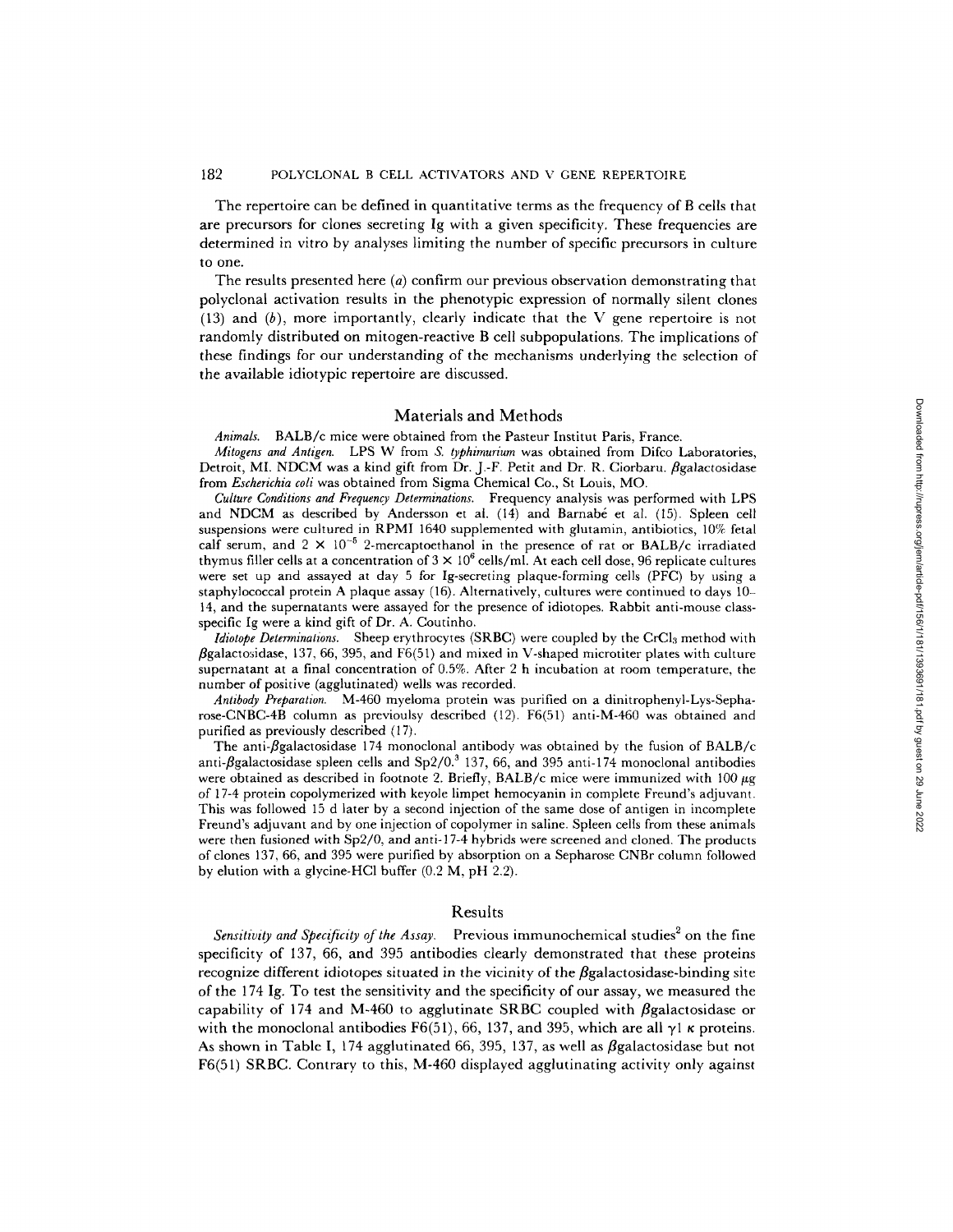## 182 POLYCLONAL B CELL ACTIVATORS AND V GENE REPERTOIRE

The repertoire can be defined in quantitative terms as the frequency of B cells that are precursors for clones secreting Ig with a given specificity. These frequencies are determined in vitro by analyses limiting the number of specific precursors in culture to one.

The results presented here  $(a)$  confirm our previous observation demonstrating that polyclonal activation results in the phenotypic expression of normally silent clones  $(13)$  and  $(b)$ , more importantly, clearly indicate that the V gene repertoire is not randomly distributed on mitogen-reactive B cell subpopulations. The implications of these findings for our understanding of the mechanisms underlying the selection of the available idiotypic repertoire are discussed.

## Materials and Methods

*Animals.* BALB/c mice were obtained from the Pasteur Institut Paris, France.

*Mitogens and Antigen.* LPS W from *S. typhimurium* was obtained from Difco Laboratories, Detroit, MI. NDCM was a kind gift from Dr. J.-F. Petit and Dr. R. Ciorbaru. *Bgalactosidase* from *Escherichia coli* was obtained from Sigma Chemical Co., St Louis, MO.

*Culture Conditions and Frequency Determinations.* Frequency analysis was performed with LPS and NDCM as described by Andersson et al.  $(14)$  and Barnabé et al.  $(15)$ . Spleen cell suspensions were cultured in RPMI 1640 supplemented with glutamin, antibiotics, 10% fetal calf serum, and  $2 \times 10^{-5}$  2-mercaptoethanol in the presence of rat or BALB/c irradiated thymus filler cells at a concentration of  $3 \times 10^6$  cells/ml. At each cell dose, 96 replicate cultures were set up and assayed at day 5 for Ig-secreting plaque-forming cells (PFC) by using a staphylococcal protein A plaque assay (16). Alternatively, cultures were continued to days 10- 14, and the supernatants were assayed for the presence of idiotopes. Rabbit anti-mouse classspecific Ig were a kind gift of Dr. A. Coutinho.

*Idiotope Determinations.* Sheep erythrocytes (SRBC) were coupled by the CrCl<sub>3</sub> method with  $\beta$ galactosidase, 137, 66, 395, and F6(51) and mixed in V-shaped microtiter plates with culture supernatant at a final concentration of 0.5%. After 2 h incubation at room temperature, the number of positive (agglutinated) wells was recorded.

*Antibody Preparation.* M-460 myeloma protein was purified on a dinitrophenyl-Lys-Sepharose-CNBC-4B column as previoulsy described (12). F6(51) anti-M-460 was obtained and purified as previously described (17).

The anti- $\beta$ galactosidase 174 monoclonal antibody was obtained by the fusion of BALB/c anti- $\beta$ galactosidase spleen cells and Sp2/0.<sup>3</sup> 137, 66, and 395 anti-174 monoclonal antibodies were obtained as described in footnote 2. Briefly, BALB/c mice were immunized with  $100 \mu$ g of 17-4 protein copolymerized with keyole limpet hemocyanin in complete Freund's adjuvant. This was followed 15 d later by a second injection of the same dose of antigen in incomplete Freund's adjuvant and by one injection of copolymer in saline. Spleen cells from these animals were then fusioned with Sp2/0, and anti-17-4 hybrids were screened and cloned. The products of clones 137, 66, and 395 were purified by absorption on a Sepharose CNBr column followed by elution with a glycine-HC1 buffer (0.2 M, pH 2.2).

#### Results

*Sensitivity and Specificity of the Assay.* Previous immunochemical studies<sup>2</sup> on the fine specificity of 137, 66, and 395 antibodies clearly demonstrated that these proteins recognize different idiotopes situated in the vicinity of the  $\beta$ galactosidase-binding site of the 174 Ig. To test the sensitivity and the specificity of our assay, we measured the capability of 174 and M-460 to agglutinate SRBC coupled with  $\beta$ galactosidase or with the monoclonal antibodies F6(51), 66, 137, and 395, which are all  $\gamma$ 1  $\kappa$  proteins. As shown in Table I, 174 agglutinated 66, 395, 137, as well as  $\beta$ galactosidase but not F6(51) SRBC. Contrary to this, M-460 displayed agglutinating activity only against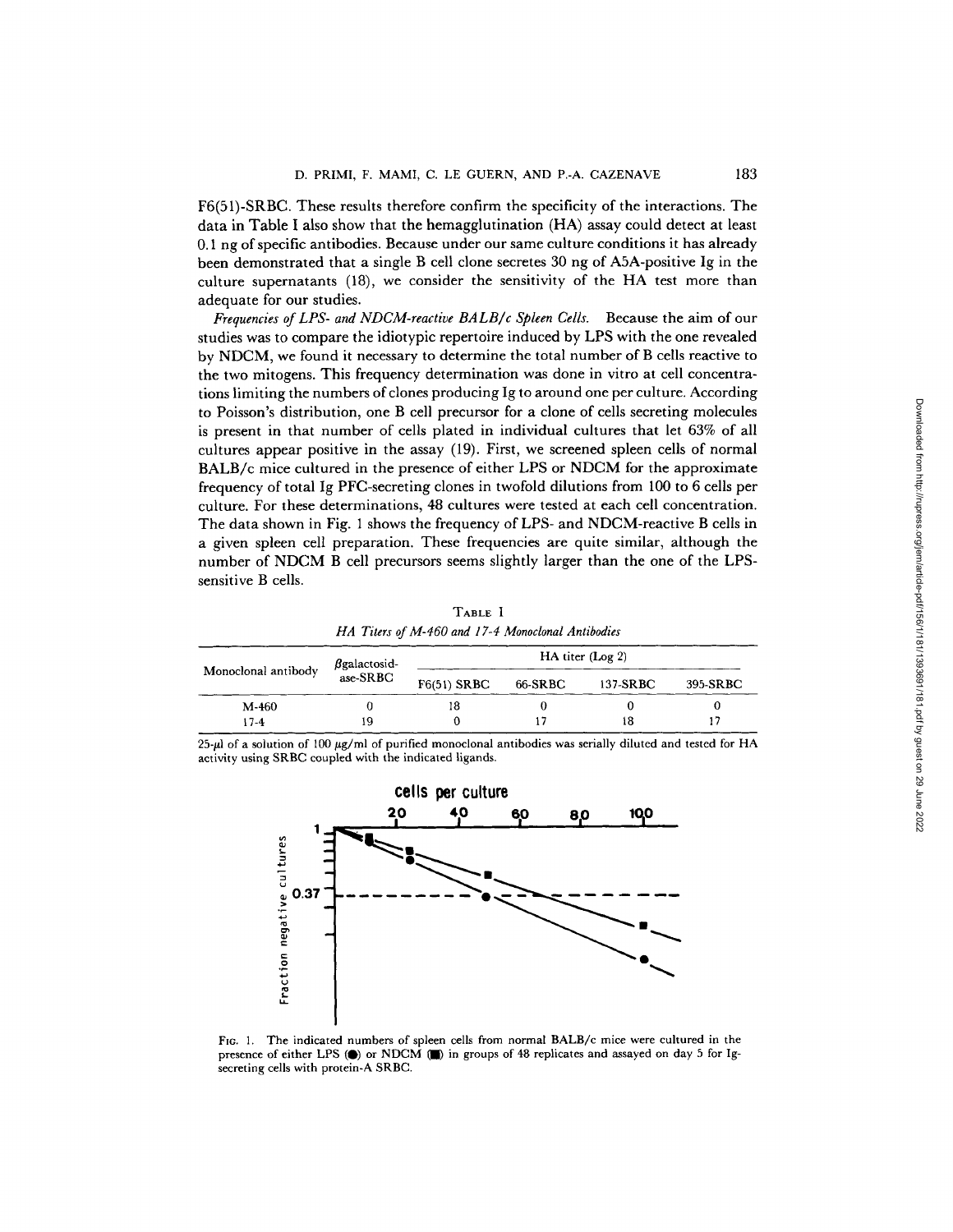F6(51)-SRBC. These results therefore confirm the specificity of the interactions. The data in Table I also show that the hemagglutination (HA) assay could detect at least 0.1 ng of specific antibodies. Because under our same culture conditions it has already been demonstrated that a single B cell clone secretes 30 ng of A5A-positive Ig in the culture supernatants (18), we consider the sensitivity of the HA test more than adequate for our studies.

*Frequencies of LPS- and NDCM-reactive BALB/c Spleen Cells.* Because the aim of our studies was to compare the idiotypic repertoire induced by LPS with the one revealed by NDCM, we found it necessary to determine the total number of B cells reactive to the two mitogens. This frequency determination was done in vitro at cell concentrations limiting the numbers of clones producing Ig to around one per culture. According to Poisson's distribution, one B cell precursor for a clone of cells secreting molecules is present in that number of cells plated in individual cultures that let 63% of all cultures appear positive in the assay (19). First, we screened spleen cells of normal BALB/c mice cultured in the presence of either LPS or NDCM for the approximate frequency of total Ig PFC-secreting clones in twofold dilutions from 100 to 6 cells per culture. For these determinations, 48 cultures were tested at each cell concentration. The data shown in Fig. 1 shows the frequency of LPS- and NDCM-reactive B cells in a given spleen cell preparation. These frequencies are quite similar, although the number of NDCM B cell precursors seems slightly larger than the one of the LPSsensitive B cells.

TABLE I *HA Titers of M-460 and 17-4 Monoclonal Antibodies* 

|                     | $\beta$ galactosid- | $HA$ titer (Log 2) |         |          |          |  |  |  |  |  |
|---------------------|---------------------|--------------------|---------|----------|----------|--|--|--|--|--|
| Monoclonal antibody | ase-SRBC            | $F6(51)$ SRBC      | 66-SRBC | 137-SRBC | 395-SRBC |  |  |  |  |  |
| M-460               |                     | 18                 |         |          |          |  |  |  |  |  |
| $17 - 4$            | 19                  |                    |         | 18       |          |  |  |  |  |  |

25- $\mu$ l of a solution of 100  $\mu$ g/ml of purified monoclonal antibodies was serially diluted and tested for HA activity using SRBC coupled with the indicated ligands.



FIG. 1. The indicated numbers of spleen cells from normal BALB/c mice were cultured in the presence of either LPS (0) or NDCM (I) in groups of 48 replicates and assayed on day 5 for Igsecreting cells with protein-A SRBC.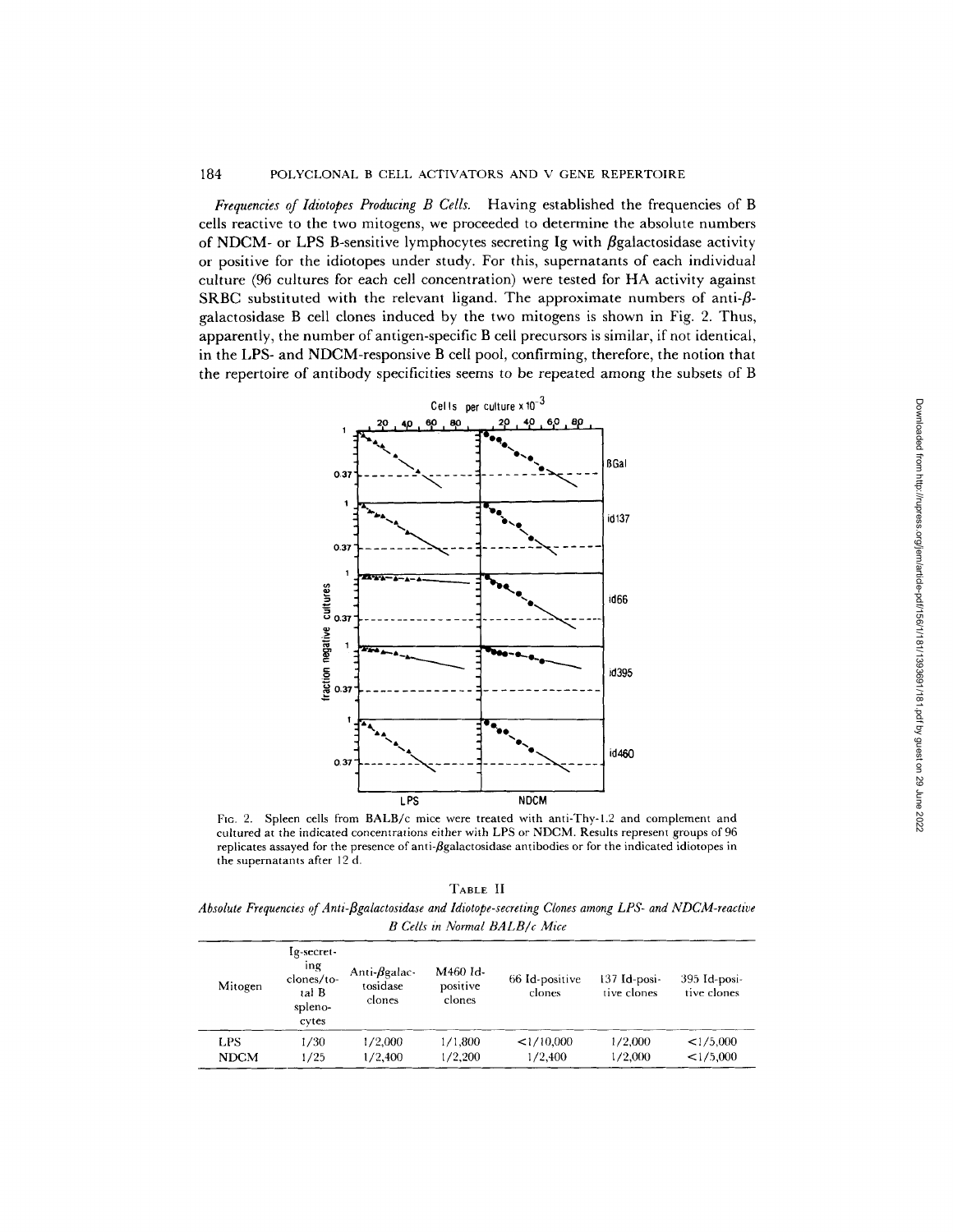*Frequencies of Idiotopes Producing B Cells.* Having established the frequencies of B cells reactive to the two mitogens, we proceeded to determine the absolute numbers of NDCM- or LPS B-sensitive lymphocytes secreting Ig with  $\beta$ galactosidase activity or positive for the idiotopes under study. For this, supernatants of each individual culture (96 cultures for each cell concentration) were tested for HA activity against SRBC substituted with the relevant ligand. The approximate numbers of anti- $\beta$ galactosidase B cell clones induced by the two mitogens is shown in Fig. 2. Thus, apparently, the number of antigen-specific B cell precursors is similar, if not identical, in the LPS- and NDCM-responsive B cell pool, confirming, therefore, the notion that the repertoire of antibody specificities seems to be repeated among the subsets of B



FIG. 2. Spleen cells from BALB/c mice were treated with anti-Thy-1.2 and complement and cultured at the indicated concentrations either with LPS or NDCM. Results represent groups of 96 replicates assayed for the presence of anti-*ß*galactosidase antibodies or for the indicated idiotopes in the supernatants after 12 d.

TABLE II *Absolute Frequencies of Anti-flgalactosidase and Idiotope-secreting Clones among LPS- and NDCM-reactive*   $B$  Cells in Normal BALB/c Mice

| Mitogen     | Ig-secret-<br>ing<br>clones/to-<br>tal B<br>spleno-<br>cytes | Anti- $\beta$ galac-<br>tosidase<br>clones | M460 Id-<br>positive<br>clones | 66 Id-positive<br>clones | 137 Id-posi-<br>tive clones | 395 Id-posi-<br>tive clones |
|-------------|--------------------------------------------------------------|--------------------------------------------|--------------------------------|--------------------------|-----------------------------|-----------------------------|
| LPS         | 1/30                                                         | 1/2,000                                    | 1/1,800                        | <1/10,000                | 1/2,000                     | <1/5,000                    |
| <b>NDCM</b> | ./25                                                         | 1/2,400                                    | 1/2,200                        | 1/2,400                  | 1/2,000                     | <1/5,000                    |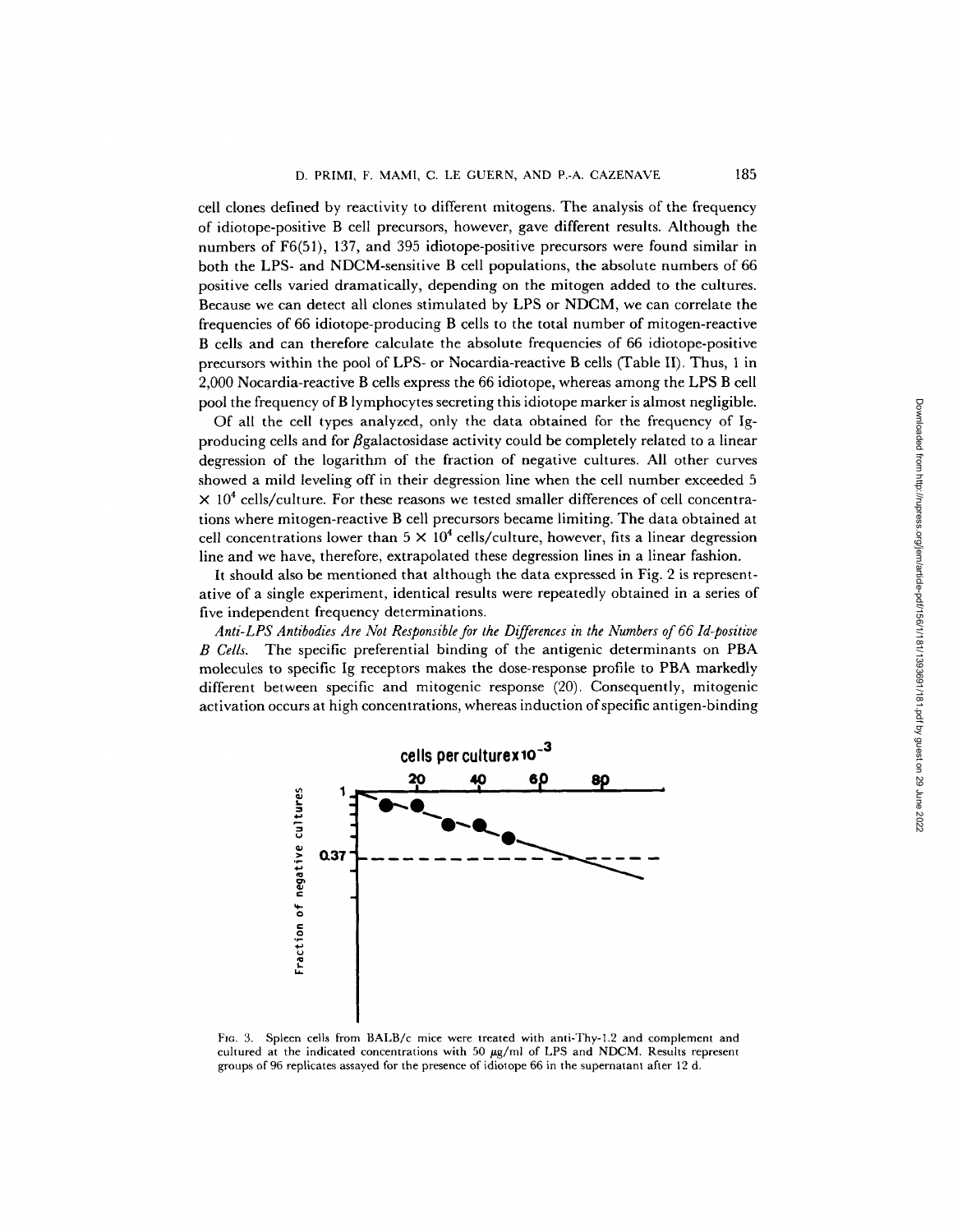cell clones defined by reactivity to different mitogens. The analysis of the frequency of idiotope-positive B cell precursors, however, gave different results. Although the numbers of F6(51), 137, and 395 idiotope-positive precursors were found similar in both the LPS- and NDCM-sensitive B cell populations, the absolute numbers of 66 positive cells varied dramatically, depending on the mitogen added to the cultures. Because we can detect all clones stimulated by LPS or NDCM, we can correlate the frequencies of 66 idiotope-producing B cells to the total number of mitogen-reactive B cells and can therefore calculate the absolute frequencies of 66 idiotope-positive precursors within the pool of LPS- or Nocardia-reactive B cells (Table II). Thus, 1 in 2,000 Nocardia-reactive B cells express the 66 idiotope, whereas among the LPS B cell pool the frequency ofB lymphocytes secreting this idiotope marker is almost negligible.

Of all the cell types analyzed, only the data obtained for the frequency of Igproducing cells and for  $\beta$ galactosidase activity could be completely related to a linear degression of the logarithm of the fraction of negative cultures. All other curves showed a mild leveling off in their degression line when the cell number exceeded 5  $\times$  10<sup>4</sup> cells/culture. For these reasons we tested smaller differences of cell concentrations where mitogen-reactive B cell precursors became limiting. The data obtained at cell concentrations lower than  $5 \times 10^4$  cells/culture, however, fits a linear degression line and we have, therefore, extrapolated these degression lines in a linear fashion.

It should also be mentioned that although the data expressed in Fig. 2 is representative of a single experiment, identical results were repeatedly obtained in a series of five independent frequency determinations.

*Anti-LPS Antibodies Are Not Responsible for the Differences in the Numbers of 66 Id-positive B Cells.* The specific preferential binding of the antigenic determinants on PBA molecules to specific Ig receptors makes the dose-response profile to PBA markedly different between specific and mitogenic response (20). Consequently, mitogenic activation occurs at high concentrations, whereas induction of specific antigen-binding



Fie. 3. Spleen ceils from BALB/c mice were treated with anti-Thy-l.2 and complement and cultured at the indicated concentrations with 50  $\mu$ g/ml of LPS and NDCM. Results represent groups of 96 replicates assayed for the presence of idiotope 66 in the supernatant after 12 d.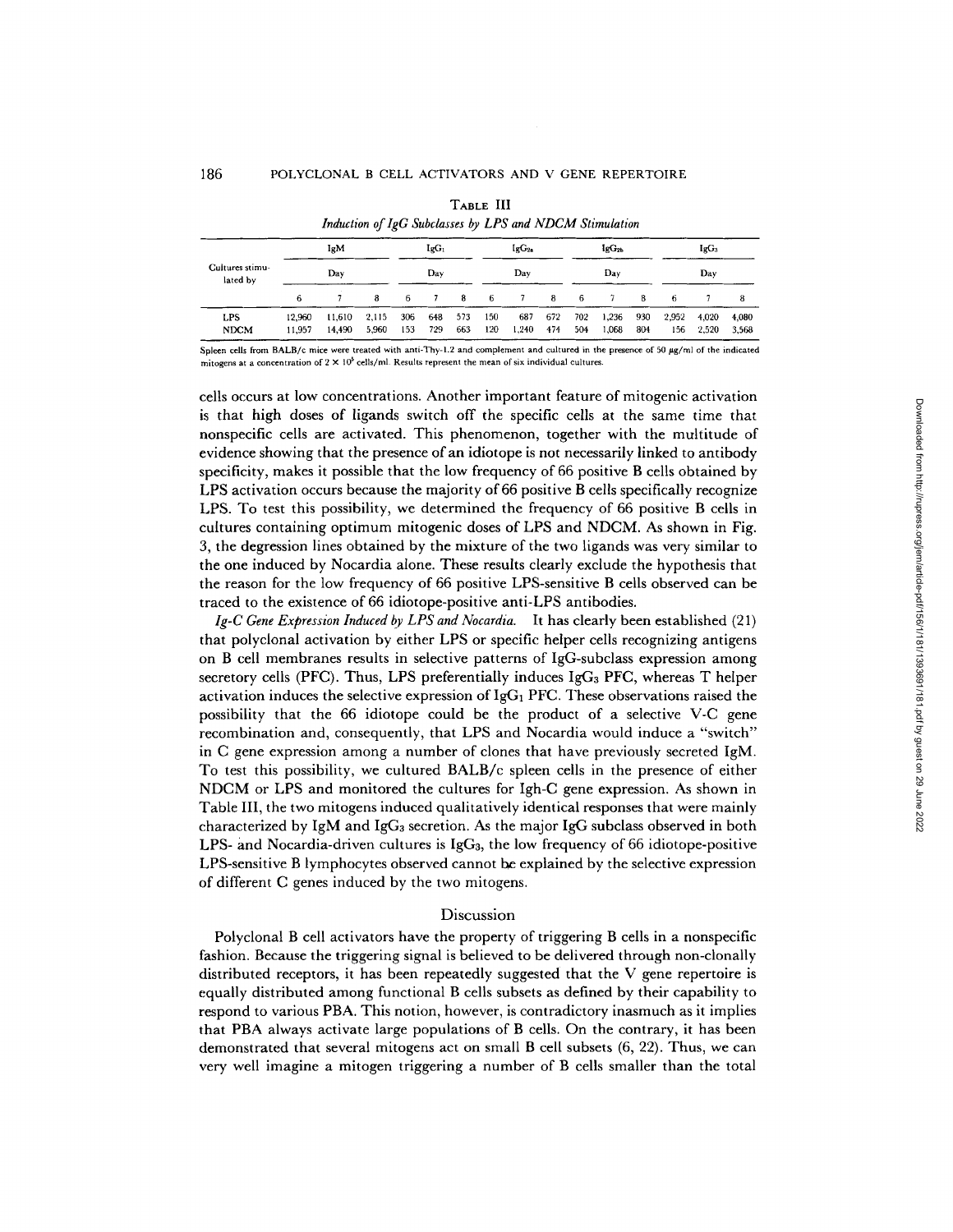|                             |                   | Thanthout of the Davidsses of LID and INDOIN Diminimum |                |            |                   |            |                   |              |            |                |                |            |               |                |                |
|-----------------------------|-------------------|--------------------------------------------------------|----------------|------------|-------------------|------------|-------------------|--------------|------------|----------------|----------------|------------|---------------|----------------|----------------|
|                             | <b>IgM</b><br>Dav |                                                        | $IgG_1$<br>Dav |            | $IgG_{2a}$<br>Dav |            | IgG <sub>2b</sub> |              |            | $IgG_3$<br>Dav |                |            |               |                |                |
| Cultures stimu-<br>lated by |                   |                                                        |                |            |                   |            | Dav               |              |            |                |                |            |               |                |                |
|                             | 6                 |                                                        | 8              | 6.         |                   | -8         | - 6               | 7            | 8          | -6             | -7             | 8          | -6            |                | 8              |
| LPS<br><b>NDCM</b>          | 12.960<br>11.957  | 11.610<br>14.490                                       | 2.115<br>5.960 | 306<br>153 | 648<br>729        | 573<br>663 | 150<br>120        | 687<br>1,240 | 672<br>474 | 702<br>504     | 1,236<br>1,068 | 930<br>804 | 2.952<br>156. | 4.020<br>2,520 | 4,080<br>3,568 |

TABLE III *Induction of lgG Subclasses by LPS and NDCM Stimulation* 

Spleen cells from BALB/c mice were treated with anti-Thy-1.2 and complement and cultured in the presence of 50 µg/ml of the indicated mitogens at a concentration of  $2 \times 10^5$  cells/ml. Results represent the mean of six individual cultures.

cells occurs at low concentrations. Another important feature of mitogenic activation is that high doses of ligands switch off the specific cells at the same time that nonspecific cells are activated. This phenomenon, together with the multitude of evidence showing that the presence of an idiotope is not necessarily linked to antibody specificity, makes it possible that the low frequency of 66 positive B cells obtained by LPS activation occurs because the majority of 66 positive B cells specifically recognize LPS. To test this possibility, we determined the frequency of 66 positive B cells in cultures containing optimum mitogenic doses of LPS and NDCM. As shown in Fig. 3, the degression lines obtained by the mixture of the two ligands was very similar to the one induced by Nocardia alone. These results clearly exclude the hypothesis that the reason for the low frequency of 66 positive LPS-sensitive B cells observed can be traced to the existence of 66 idiotope-positive anti-LPS antibodies.

*Ig-C Gene Expression Induced by LPS and Nocardia.* It has clearly been established (21) that polyclonal activation by either LPS or specific helper cells recognizing antigens on B cell membranes results in selective patterns of IgG-subclass expression among secretory cells (PFC). Thus, LPS preferentially induces  $IgG<sub>3</sub>$  PFC, whereas T helper activation induces the selective expression of  $IgG_1$  PFC. These observations raised the possibility that the 66 idiotope could be the product of a selective V-C gene recombination and, consequently, that LPS and Nocardia would induce a "switch" in C gene expression among a number of clones that have previously secreted IgM. To test this possibility, we cultured BALB/c spleen cells in the presence of either NDCM or LPS and monitored the cultures for Igh-C gene expression. As shown in Table III, the two mitogens induced qualitatively identical responses that were mainly characterized by IgM and IgG<sub>3</sub> secretion. As the major IgG subclass observed in both LPS- and Nocardia-driven cultures is IgGa, the low frequency of 66 idiotope-positive LPS-sensitive B lymphocytes observed cannot he explained by the selective expression of different C genes induced by the two mitogens.

#### Discussion

Polyclonal B cell activators have the property of triggering B cells in a nonspecific fashion. Because the triggering signal is believed to be delivered through non-clonally distributed receptors, it has been repeatedly suggested that the  $V$  gene repertoire is equally distributed among functional B cells subsets as defined by their capability to respond to various PBA. This notion, however, is contradictory inasmuch as it implies that PBA always activate large populations of B cells. On the contrary, it has been demonstrated that several mitogens act on small B cell subsets (6, 22). Thus, we can very well imagine a mitogen triggering a number of B cells smaller than the total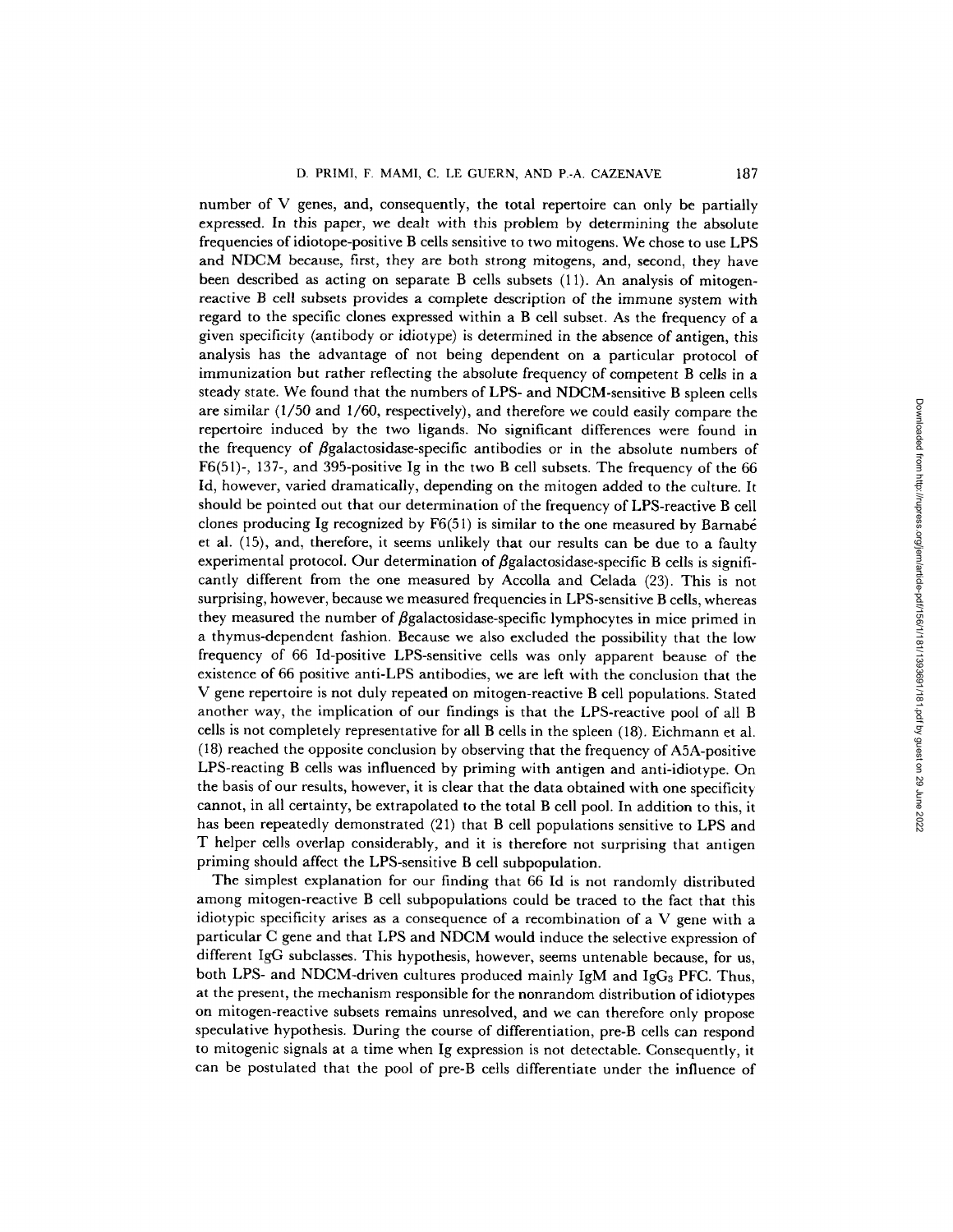number of V genes, and, consequently, the total repertoire can only be partially expressed. In this paper, we dealt with this problem by determining the absolute frequencies of idiotope-positive B cells sensitive to two mitogens. We chose to use LPS and NDCM because, first, they are both strong mitogens, and, second, they have been described as acting on separate B cells subsets (11). An analysis of mitogenreactive B cell subsets provides a complete description of the immune system with regard to the specific clones expressed within a B cell subset. As the frequency of a given specificity (antibody or idiotype) is determined in the absence of antigen, this analysis has the advantage of not being dependent on a particular protocol of immunization but rather reflecting the absolute frequency of competent B cells in a steady state. We found that the numbers of LPS- and NDCM-sensitive B spleen cells are similar (1/50 and 1/60, respectively), and therefore we could easily compare the repertoire induced by the two ligands. No significant differences were found in the frequency of  $\beta$ galactosidase-specific antibodies or in the absolute numbers of F6(51)-, 137-, and 395-positive Ig in the two B cell subsets. The frequency of the 66 Id, however, varied dramatically, depending on the mitogen added to the culture. It should be pointed out that our determination of the frequency of LPS-reactive B cell clones producing Ig recognized by  $F6(51)$  is similar to the one measured by Barnabé et al. (15), and, therefore, it seems unlikely that our results can be due to a faulty experimental protocol. Our determination of  $\beta$ galactosidase-specific B cells is significantly different from the one measured by Accolla and Celada (23). This is not surprising, however, because we measured frequencies in LPS-sensitive B cells, whereas they measured the number of  $\beta$ galactosidase-specific lymphocytes in mice primed in a thymus-dependent fashion. Because we also excluded the possibility that the low frequency of 66 Id-positive LPS-sensitive cells was only apparent beause of the existence of 66 positive anti-LPS antibodies, we are left with the conclusion that the V gene repertoire is not duly repeated on mitogen-reactive B cell populations. Stated another way, the implication of our findings is that the LPS-reactive pool of all B cells is not completely representative for all B cells in the spleen (18). Eichmann et al. (18) reached the opposite conclusion by observing that the frequency of A5A-positive LPS-reacting B cells was influenced by priming with antigen and anti-idiotype. On the basis of our results, however, it is clear that the data obtained with one specificity cannot, in all certainty, be extrapolated to the total B cell pool. In addition to this, it has been repeatedly demonstrated (21) that B cell populations sensitive to LPS and T helper cells overlap considerably, and it is therefore not surprising that antigen priming should affect the LPS-sensitive B cell subpopulation.

The simplest explanation for our finding that 66 Id is not randomly distributed among mitogen-reactive B cell subpopulations could be traced to the fact that this idiotypic specificity arises as a consequence of a recombination of a V gene with a particular C gene and that LPS and NDCM would induce the selective expression of different IgG subclasses. This hypothesis, however, seems untenable because, for us, both LPS- and NDCM-driven cultures produced mainly IgM and IgG<sub>3</sub> PFC. Thus, at the present, the mechanism responsible for the nonrandom distribution of idiotypes on mitogen-reactive subsets remains unresolved, and we can therefore only propose speculative hypothesis. During the course of differentiation, pre-B cells can respond to mitogenic signals at a time when Ig expression is not detectable. Consequently, it can be postulated that the pool of pre-B cells differentiate under the influence of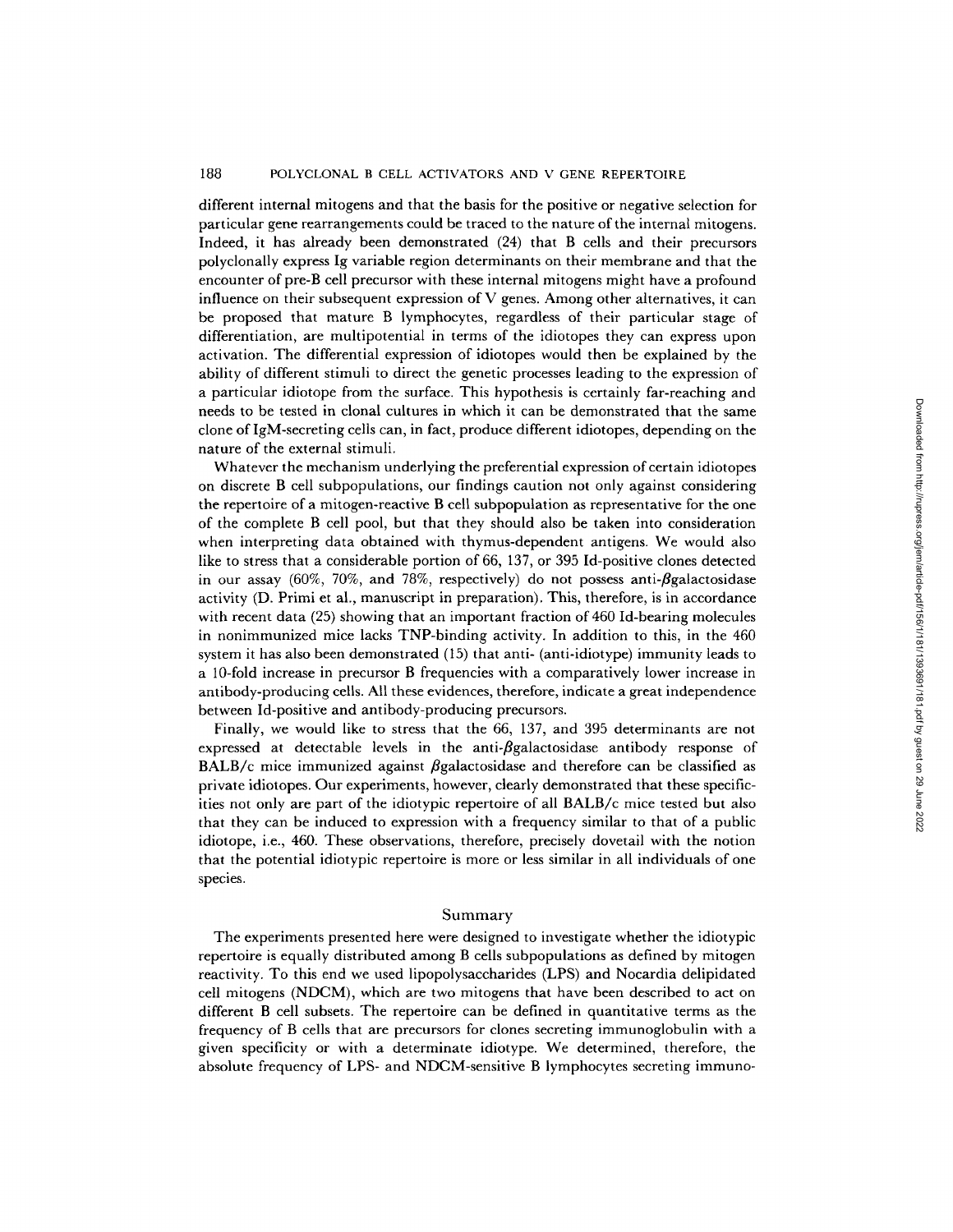## 188 POLYCLONAL B CELL ACTIVATORS AND V GENE REPERTOIRE

different internal mitogens and that the basis for the positive or negative selection for particular gene rearrangements could be traced to the nature of the internal mitogens. Indeed, it has already been demonstrated (24) that B cells and their precursors polyclonally express Ig variable region determinants on their membrane and that the encounter of pre-B cell precursor with these internal mitogens might have a profound influence on their subsequent expression of V genes. Among other alternatives, it can be proposed that mature B lymphocytes, regardless of their particular stage of differentiation, are multipotential in terms of the idiotopes they can express upon activation. The differential expression of idiotopes would then be explained by the ability of different stimuli to direct the genetic processes leading to the expression of a particular idiotope from the surface. This hypothesis is certainly far-reaching and needs to be tested in clonal cultures in which it can be demonstrated that the same clone of IgM-secreting cells can, in fact, produce different idiotopes, depending on the nature of the external stimuli.

Whatever the mechanism underlying the preferential expression of certain idiotopes on discrete B cell subpopulations, our findings caution not only against considering the repertoire of a mitogen-reactive B cell subpopulation as representative for the one of the complete B cell pool, but that they should also be taken into consideration when interpreting data obtained with thymus-dependent antigens. We would also like to stress that a considerable portion of 66, 137, or 395 Id-positive clones detected in our assay (60%, 70%, and 78%, respectively) do not possess anti- $\beta$ galactosidase activity (D. Primi et al., manuscript in preparation). This, therefore, is in accordance with recent data (25) showing that an important fraction of 460 Id-bearing molecules in nonimmunized mice lacks TNP-binding activity. In addition to this, in the 460 system it has also been demonstrated (15) that anti- (anti-idiotype) immunity leads to a 10-fold increase in precursor B frequencies with a comparatively lower increase in antibody-producing cells. All these evidences, therefore, indicate a great independence between Id-positive and antibody-producing precursors.

Finally, we would like to stress that the 66, 137, and 395 determinants are not expressed at detectable levels in the anti- $\beta$ galactosidase antibody response of BALB/c mice immunized against  $\beta$ galactosidase and therefore can be classified as private idiotopes. Our experiments, however, clearly demonstrated that these specificities not only are part of the idiotypic repertoire of all BALB/c mice tested but also that they can be induced to expression with a frequency similar to that of a public idiotope, i.e., 460. These observations, therefore, precisely dovetail with the notion that the potential idiotypic repertoire is more or less similar in all individuals of one species.

#### Summary

The experiments presented here were designed to investigate whether the idiotypic repertoire is equally distributed among B cells subpopulations as defined by mitogen reactivity. To this end we used lipopolysaccharides (LPS) and Nocardia delipidated cell mitogens (NDCM), which are two mitogens that have been described to act on different B cell subsets. The repertoire can be defined in quantitative terms as the frequency of B cells that are precursors for clones secreting immunoglobulin with a given specificity or with a determinate idiotype. We determined, therefore, the absolute frequency of LPS- and NDCM-sensitive B lymphocytes secreting immuno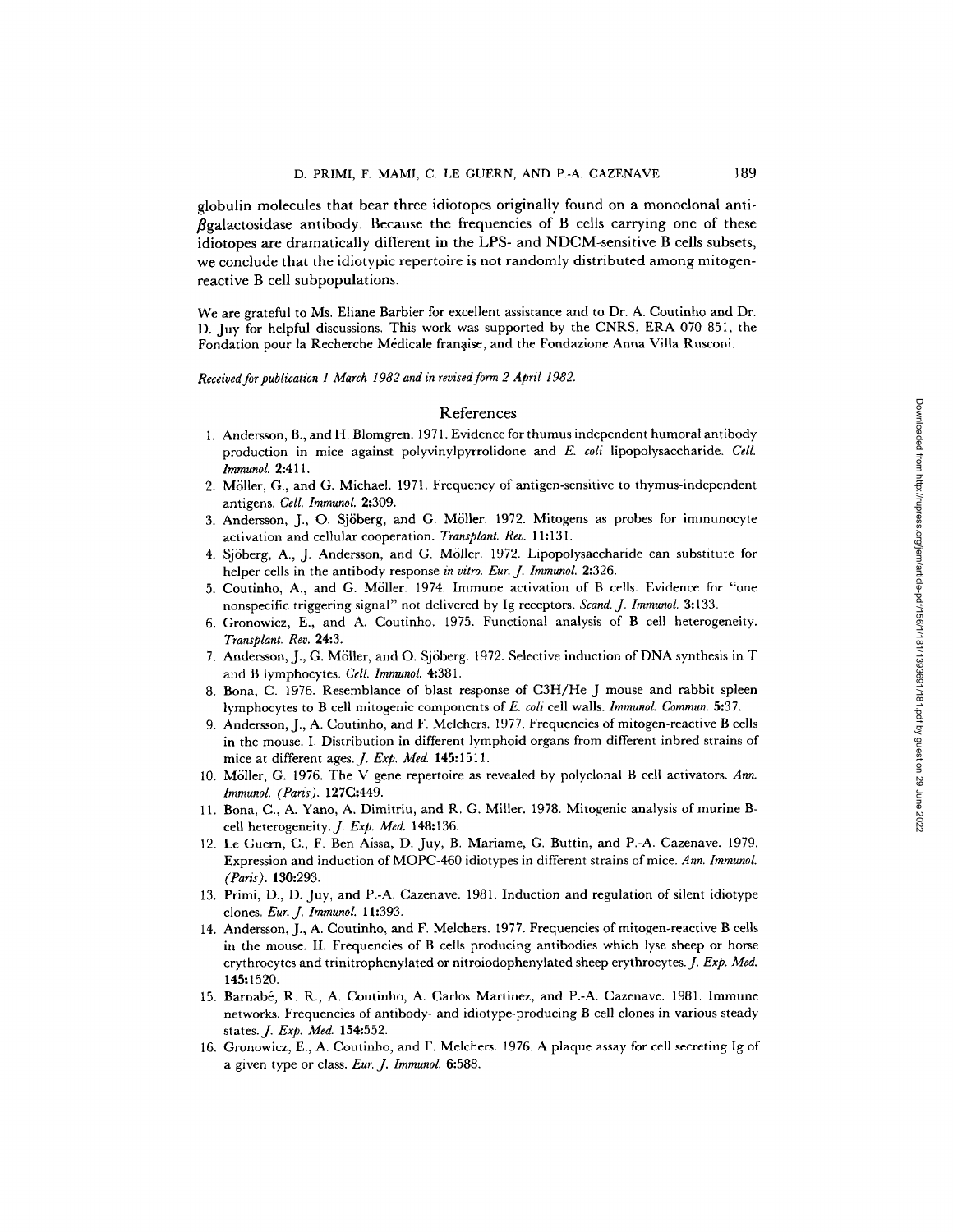globulin molecules that bear three idiotopes originally found on a monoclonal anti-  $\beta$ galactosidase antibody. Because the frequencies of B cells carrying one of these idiotopes are dramatically different in the LPS- and NDCM-sensitive B cells subsets, we conclude that the idiotypic repertoire is not randomly distributed among mitogenreactive B cell subpopulations.

We are grateful to Ms. Eliane Barbier for excellent assistance and to Dr. A. Coutinho and Dr. D. Juy for helpful discussions. This work was supported by the CNRS, ERA 070 851, the Fondation pour la Recherche Médicale franaise, and the Fondazione Anna Villa Rusconi.

*Received for publication 1 March 1982 and in revised form 2 April 1982.* 

# References

- 1. Andersson, B., and H. Blomgren. 1971. Evidence for thumus independent humoral antibody production in mice against polyvinylpyrrolidone and *E. coli* lipopolysaccharide. *Cell. ImmunoL* 2:411.
- 2. M611er, G., and G. Michael. 1971. Frequency of antigen-sensitive to thymus-independent antigens. *Cell. Immunol.* 2:309.
- 3. Andersson, J., O. Sjöberg, and G. Möller. 1972. Mitogens as probes for immunocyte activation and cellular cooperation. *Transplant. Rev.* 11:131.
- 4. Sjöberg, A., J. Andersson, and G. Möller. 1972. Lipopolysaccharide can substitute for helper cells in the antibody response *in vitro. Eur. J. Immunol.* 2:326.
- 5. Coutinho, A., and G. M611er. 1974. Immune activation of B cells. Evidence for "one nonspecific triggering signal" not delivered by Ig receptors. *Scand. J. Immunol.* 3:133.
- 6. Gronowicz, E., and A. Coutinho. 1975. Functional analysis of B cell heterogeneity. *Transplant. Rev.* 24:3.
- 7. Andersson, J., G. Möller, and O. Sjöberg. 1972. Selective induction of DNA synthesis in T and B lymphocytes. *Cell. Immunol.* 4:381.
- 8. Bona, C. 1976. Resemblance of blast response of C3H/He J mouse and rabbit spleen lymphocytes to B cell mitogenic components of *E. coli* cell walls. *Immunol. Commun.* 5:37.
- 9. Andersson, J., A. Coutinho, and F. Melchers. 1977. Frequencies of mitogen-reactive B cells in the mouse. I. Distribution in different lymphoid organs from different inbred strains of mice at different ages. *J. Exp. Med.* **145:**1511.
- 10. M611er, G. 1976. The V gene repertoire as revealed by polyclonal B cell activators. *Ann. Immunol. (Paris).* 127C:449.
- 11. Bona, C., A. Yano, A. Dimitriu, and R. G. Miller. 1978. Mitogenic analysis of murine Bcell heterogeneity.J. *Exp. Med.* 148:136.
- 19. Le Guern, C., F. Ben Aissa, D. Juy, B. Mariame, G. Buttin, and P.-A. Cazenave. 1979. Expression and induction of MOPC-460 idiotypes in different strains of mice. *Ann. Immunol. (Paris).* 130:293.
- 13. Primi, D., D. Juy, and P.-A. Cazenave. 1981. Induction and regulation of silent idiotype clones. *Eur..]. Immunol.* 11:393.
- 14. Andersson, J., A. Coutinho, and F. Melchers. 1977. Frequencies of mitogen-reactive B cells in the mouse. II. Frequencies of B cells producing antibodies which lyse sheep or horse erythrocytes and trinitrophenylated or nitroiodophenylated sheep erythrocytes.J. *Exp. Med.*  **145:1520.**
- 15. Barnabé, R. R., A. Coutinho, A. Carlos Martinez, and P.-A. Cazenave. 1981. Immune networks. Frequencies of antibody- and idiotype-producing B cell clones in various steady states.,]. *Exp. Med.* 154:552.
- 16. Gronowicz, E., A. Coutinho, and F. Melchers. 1976. A plaque assay for cell secreting Ig of a given type or class. *Eur. J. Immunol.* 6:588.